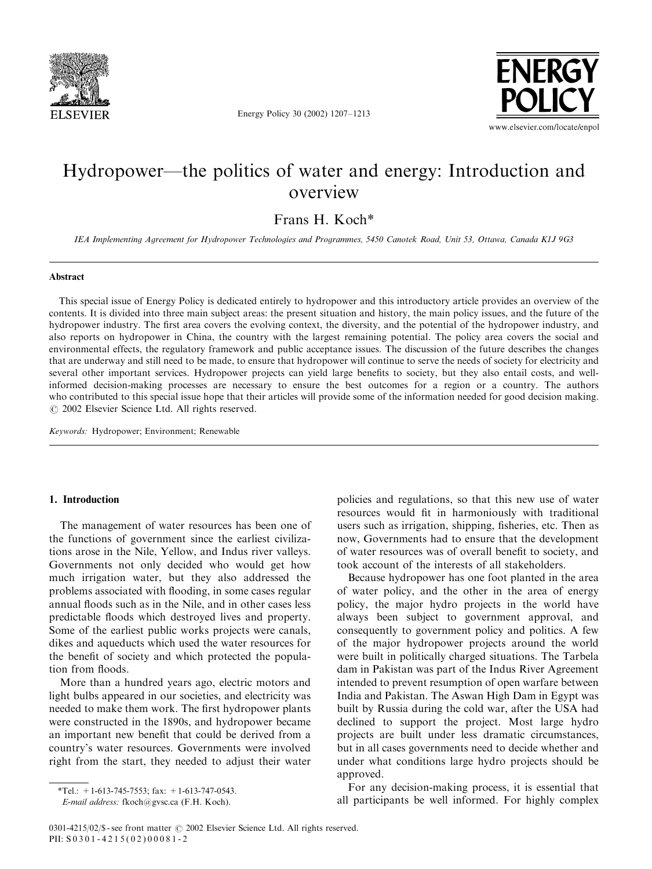

Energy Policy 30 (2002) 1207–1213



# Hydropower—the politics of water and energy: Introduction and overview

Frans H. Koch\*

IEA Implementing Agreement for Hydropower Technologies and Programmes, 5450 Canotek Road, Unit 53, Ottawa, Canada K1J 9G3

#### Abstract

This special issue of Energy Policy is dedicated entirely to hydropower and this introductory article provides an overview of the contents. It is divided into three main subject areas: the present situation and history, the main policy issues, and the future of the hydropower industry. The first area covers the evolving context, the diversity, and the potential of the hydropower industry, and also reports on hydropower in China, the country with the largest remaining potential. The policy area covers the social and environmental effects, the regulatory framework and public acceptance issues. The discussion of the future describes the changes that are underway and still need to be made, to ensure that hydropower will continue to serve the needs of society for electricity and several other important services. Hydropower projects can yield large benefits to society, but they also entail costs, and wellinformed decision-making processes are necessary to ensure the best outcomes for a region or a country. The authors who contributed to this special issue hope that their articles will provide some of the information needed for good decision making.  $\odot$  2002 Elsevier Science Ltd. All rights reserved.

Keywords: Hydropower; Environment; Renewable

# 1. Introduction

The management of water resources has been one of the functions of government since the earliest civilizations arose in the Nile, Yellow, and Indus river valleys. Governments not only decided who would get how much irrigation water, but they also addressed the problems associated with flooding, in some cases regular annual floods such as in the Nile, and in other cases less predictable floods which destroyed lives and property. Some of the earliest public works projects were canals, dikes and aqueducts which used the water resources for the benefit of society and which protected the population from floods.

More than a hundred years ago, electric motors and light bulbs appeared in our societies, and electricity was needed to make them work. The first hydropower plants were constructed in the 1890s, and hydropower became an important new benefit that could be derived from a country's water resources. Governments were involved right from the start, they needed to adjust their water

\*Tel.:  $+1$ -613-745-7553; fax:  $+1$ -613-747-0543.

policies and regulations, so that this new use of water resources would fit in harmoniously with traditional users such as irrigation, shipping, fisheries, etc. Then as now, Governments had to ensure that the development of water resources was of overall benefit to society, and took account of the interests of all stakeholders.

Because hydropower has one foot planted in the area of water policy, and the other in the area of energy policy, the major hydro projects in the world have always been subject to government approval, and consequently to government policy and politics. A few of the major hydropower projects around the world were built in politically charged situations. The Tarbela dam in Pakistan was part of the Indus River Agreement intended to prevent resumption of open warfare between India and Pakistan. The Aswan High Dam in Egypt was built by Russia during the cold war, after the USA had declined to support the project. Most large hydro projects are built under less dramatic circumstances, but in all cases governments need to decide whether and under what conditions large hydro projects should be approved.

For any decision-making process, it is essential that all participants be well informed. For highly complex

E-mail address: fkoch@gvsc.ca (F.H. Koch).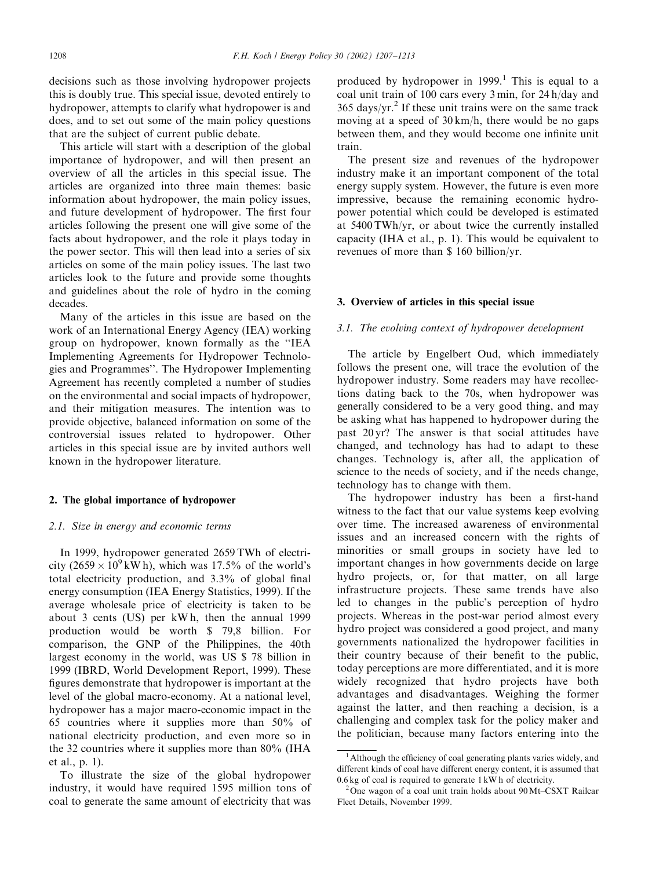decisions such as those involving hydropower projects this is doubly true. This special issue, devoted entirely to hydropower, attempts to clarify what hydropower is and does, and to set out some of the main policy questions that are the subject of current public debate.

This article will start with a description of the global importance of hydropower, and will then present an overview of all the articles in this special issue. The articles are organized into three main themes: basic information about hydropower, the main policy issues, and future development of hydropower. The first four articles following the present one will give some of the facts about hydropower, and the role it plays today in the power sector. This will then lead into a series of six articles on some of the main policy issues. The last two articles look to the future and provide some thoughts and guidelines about the role of hydro in the coming decades.

Many of the articles in this issue are based on the work of an International Energy Agency (IEA) working group on hydropower, known formally as the ''IEA Implementing Agreements for Hydropower Technologies and Programmes''. The Hydropower Implementing Agreement has recently completed a number of studies on the environmental and social impacts of hydropower, and their mitigation measures. The intention was to provide objective, balanced information on some of the controversial issues related to hydropower. Other articles in this special issue are by invited authors well known in the hydropower literature.

#### 2. The global importance of hydropower

#### 2.1. Size in energy and economic terms

In 1999, hydropower generated 2659 TWh of electricity (2659  $\times$  10<sup>9</sup> kW h), which was 17.5% of the world's total electricity production, and 3.3% of global final energy consumption (IEA Energy Statistics, 1999). If the average wholesale price of electricity is taken to be about 3 cents (US) per kW h, then the annual 1999 production would be worth \$ 79,8 billion. For comparison, the GNP of the Philippines, the 40th largest economy in the world, was US \$ 78 billion in 1999 (IBRD, World Development Report, 1999). These figures demonstrate that hydropower is important at the level of the global macro-economy. At a national level, hydropower has a major macro-economic impact in the 65 countries where it supplies more than 50% of national electricity production, and even more so in the 32 countries where it supplies more than 80% (IHA et al., p. 1).

To illustrate the size of the global hydropower industry, it would have required 1595 million tons of coal to generate the same amount of electricity that was produced by hydropower in  $1999$ .<sup>1</sup> This is equal to a coal unit train of 100 cars every 3 min, for 24 h/day and  $365 \text{ days/yr}$ <sup>2</sup> If these unit trains were on the same track moving at a speed of 30 km/h, there would be no gaps between them, and they would become one infinite unit train.

The present size and revenues of the hydropower industry make it an important component of the total energy supply system. However, the future is even more impressive, because the remaining economic hydropower potential which could be developed is estimated at 5400 TWh/yr, or about twice the currently installed capacity (IHA et al., p. 1). This would be equivalent to revenues of more than \$ 160 billion/yr.

## 3. Overview of articles in this special issue

## 3.1. The evolving context of hydropower development

The article by Engelbert Oud, which immediately follows the present one, will trace the evolution of the hydropower industry. Some readers may have recollections dating back to the 70s, when hydropower was generally considered to be a very good thing, and may be asking what has happened to hydropower during the past 20 yr? The answer is that social attitudes have changed, and technology has had to adapt to these changes. Technology is, after all, the application of science to the needs of society, and if the needs change, technology has to change with them.

The hydropower industry has been a first-hand witness to the fact that our value systems keep evolving over time. The increased awareness of environmental issues and an increased concern with the rights of minorities or small groups in society have led to important changes in how governments decide on large hydro projects, or, for that matter, on all large infrastructure projects. These same trends have also led to changes in the public's perception of hydro projects. Whereas in the post-war period almost every hydro project was considered a good project, and many governments nationalized the hydropower facilities in their country because of their benefit to the public, today perceptions are more differentiated, and it is more widely recognized that hydro projects have both advantages and disadvantages. Weighing the former against the latter, and then reaching a decision, is a challenging and complex task for the policy maker and the politician, because many factors entering into the

<sup>&</sup>lt;sup>1</sup> Although the efficiency of coal generating plants varies widely, and different kinds of coal have different energy content, it is assumed that 0.6 kg of coal is required to generate 1 kW h of electricity. <sup>2</sup>

 $^{2}$ One wagon of a coal unit train holds about 90 Mt–CSXT Railcar Fleet Details, November 1999.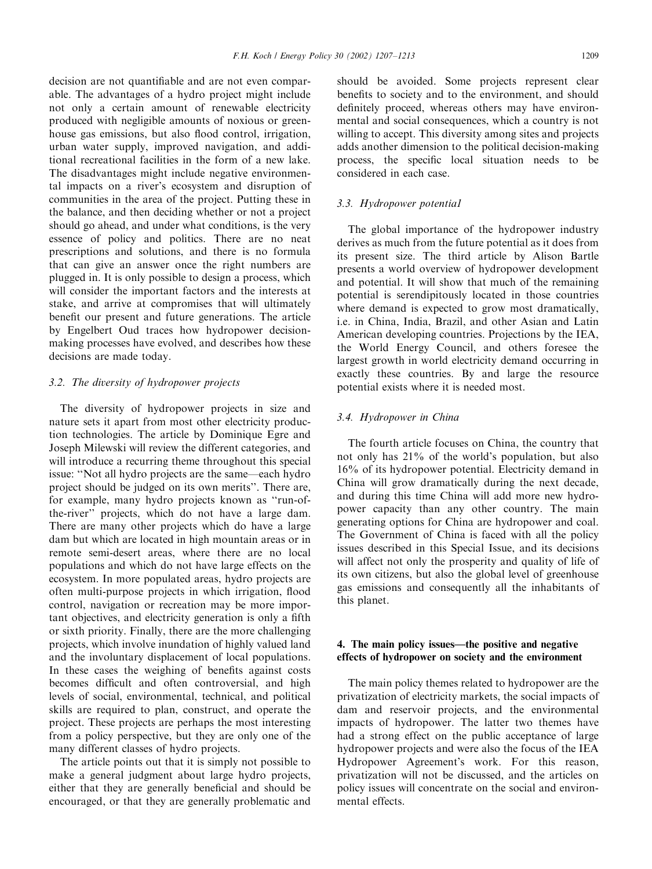decision are not quantifiable and are not even comparable. The advantages of a hydro project might include not only a certain amount of renewable electricity produced with negligible amounts of noxious or greenhouse gas emissions, but also flood control, irrigation, urban water supply, improved navigation, and additional recreational facilities in the form of a new lake. The disadvantages might include negative environmental impacts on a river's ecosystem and disruption of communities in the area of the project. Putting these in the balance, and then deciding whether or not a project should go ahead, and under what conditions, is the very essence of policy and politics. There are no neat prescriptions and solutions, and there is no formula that can give an answer once the right numbers are plugged in. It is only possible to design a process, which will consider the important factors and the interests at stake, and arrive at compromises that will ultimately benefit our present and future generations. The article by Engelbert Oud traces how hydropower decisionmaking processes have evolved, and describes how these decisions are made today.

# 3.2. The diversity of hydropower projects

The diversity of hydropower projects in size and nature sets it apart from most other electricity production technologies. The article by Dominique Egre and Joseph Milewski will review the different categories, and will introduce a recurring theme throughout this special issue: ''Not all hydro projects are the same—each hydro project should be judged on its own merits''. There are, for example, many hydro projects known as ''run-ofthe-river'' projects, which do not have a large dam. There are many other projects which do have a large dam but which are located in high mountain areas or in remote semi-desert areas, where there are no local populations and which do not have large effects on the ecosystem. In more populated areas, hydro projects are often multi-purpose projects in which irrigation, flood control, navigation or recreation may be more important objectives, and electricity generation is only a fifth or sixth priority. Finally, there are the more challenging projects, which involve inundation of highly valued land and the involuntary displacement of local populations. In these cases the weighing of benefits against costs becomes difficult and often controversial, and high levels of social, environmental, technical, and political skills are required to plan, construct, and operate the project. These projects are perhaps the most interesting from a policy perspective, but they are only one of the many different classes of hydro projects.

The article points out that it is simply not possible to make a general judgment about large hydro projects, either that they are generally beneficial and should be encouraged, or that they are generally problematic and

should be avoided. Some projects represent clear benefits to society and to the environment, and should definitely proceed, whereas others may have environmental and social consequences, which a country is not willing to accept. This diversity among sites and projects adds another dimension to the political decision-making process, the specific local situation needs to be considered in each case.

# 3.3. Hydropower potentia1

The global importance of the hydropower industry derives as much from the future potential as it does from its present size. The third article by Alison Bartle presents a world overview of hydropower development and potential. It will show that much of the remaining potential is serendipitously located in those countries where demand is expected to grow most dramatically, i.e. in China, India, Brazil, and other Asian and Latin American developing countries. Projections by the IEA, the World Energy Council, and others foresee the largest growth in world electricity demand occurring in exactly these countries. By and large the resource potential exists where it is needed most.

## 3.4. Hydropower in China

The fourth article focuses on China, the country that not only has 21% of the world's population, but also 16% of its hydropower potential. Electricity demand in China will grow dramatically during the next decade, and during this time China will add more new hydropower capacity than any other country. The main generating options for China are hydropower and coal. The Government of China is faced with all the policy issues described in this Special Issue, and its decisions will affect not only the prosperity and quality of life of its own citizens, but also the global level of greenhouse gas emissions and consequently all the inhabitants of this planet.

# 4. The main policy issues—the positive and negative effects of hydropower on society and the environment

The main policy themes related to hydropower are the privatization of electricity markets, the social impacts of dam and reservoir projects, and the environmental impacts of hydropower. The latter two themes have had a strong effect on the public acceptance of large hydropower projects and were also the focus of the IEA Hydropower Agreement's work. For this reason, privatization will not be discussed, and the articles on policy issues will concentrate on the social and environmental effects.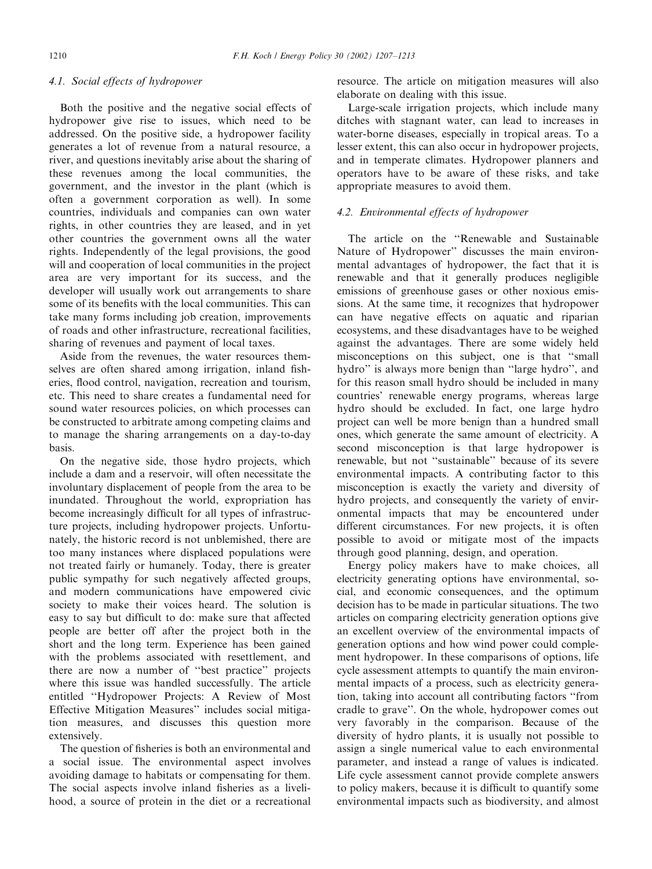# 4.1. Social effects of hydropower

Both the positive and the negative social effects of hydropower give rise to issues, which need to be addressed. On the positive side, a hydropower facility generates a lot of revenue from a natural resource, a river, and questions inevitably arise about the sharing of these revenues among the local communities, the government, and the investor in the plant (which is often a government corporation as well). In some countries, individuals and companies can own water rights, in other countries they are leased, and in yet other countries the government owns all the water rights. Independently of the legal provisions, the good will and cooperation of local communities in the project area are very important for its success, and the developer will usually work out arrangements to share some of its benefits with the local communities. This can take many forms including job creation, improvements of roads and other infrastructure, recreational facilities, sharing of revenues and payment of local taxes.

Aside from the revenues, the water resources themselves are often shared among irrigation, inland fisheries, flood control, navigation, recreation and tourism, etc. This need to share creates a fundamental need for sound water resources policies, on which processes can be constructed to arbitrate among competing claims and to manage the sharing arrangements on a day-to-day basis.

On the negative side, those hydro projects, which include a dam and a reservoir, will often necessitate the involuntary displacement of people from the area to be inundated. Throughout the world, expropriation has become increasingly difficult for all types of infrastructure projects, including hydropower projects. Unfortunately, the historic record is not unblemished, there are too many instances where displaced populations were not treated fairly or humanely. Today, there is greater public sympathy for such negatively affected groups, and modern communications have empowered civic society to make their voices heard. The solution is easy to say but difficult to do: make sure that affected people are better off after the project both in the short and the long term. Experience has been gained with the problems associated with resettlement, and there are now a number of ''best practice'' projects where this issue was handled successfully. The article entitled ''Hydropower Projects: A Review of Most Effective Mitigation Measures'' includes social mitigation measures, and discusses this question more extensively.

The question of fisheries is both an environmental and a social issue. The environmental aspect involves avoiding damage to habitats or compensating for them. The social aspects involve inland fisheries as a livelihood, a source of protein in the diet or a recreational resource. The article on mitigation measures will also elaborate on dealing with this issue.

Large-scale irrigation projects, which include many ditches with stagnant water, can lead to increases in water-borne diseases, especially in tropical areas. To a lesser extent, this can also occur in hydropower projects, and in temperate climates. Hydropower planners and operators have to be aware of these risks, and take appropriate measures to avoid them.

# 4.2. Environmental effects of hydropower

The article on the ''Renewable and Sustainable Nature of Hydropower'' discusses the main environmental advantages of hydropower, the fact that it is renewable and that it generally produces negligible emissions of greenhouse gases or other noxious emissions. At the same time, it recognizes that hydropower can have negative effects on aquatic and riparian ecosystems, and these disadvantages have to be weighed against the advantages. There are some widely held misconceptions on this subject, one is that ''small hydro'' is always more benign than ''large hydro'', and for this reason small hydro should be included in many countries' renewable energy programs, whereas large hydro should be excluded. In fact, one large hydro project can well be more benign than a hundred small ones, which generate the same amount of electricity. A second misconception is that large hydropower is renewable, but not ''sustainable'' because of its severe environmental impacts. A contributing factor to this misconception is exactly the variety and diversity of hydro projects, and consequently the variety of environmental impacts that may be encountered under different circumstances. For new projects, it is often possible to avoid or mitigate most of the impacts through good planning, design, and operation.

Energy policy makers have to make choices, all electricity generating options have environmental, social, and economic consequences, and the optimum decision has to be made in particular situations. The two articles on comparing electricity generation options give an excellent overview of the environmental impacts of generation options and how wind power could complement hydropower. In these comparisons of options, life cycle assessment attempts to quantify the main environmental impacts of a process, such as electricity generation, taking into account all contributing factors ''from cradle to grave''. On the whole, hydropower comes out very favorably in the comparison. Because of the diversity of hydro plants, it is usually not possible to assign a single numerical value to each environmental parameter, and instead a range of values is indicated. Life cycle assessment cannot provide complete answers to policy makers, because it is difficult to quantify some environmental impacts such as biodiversity, and almost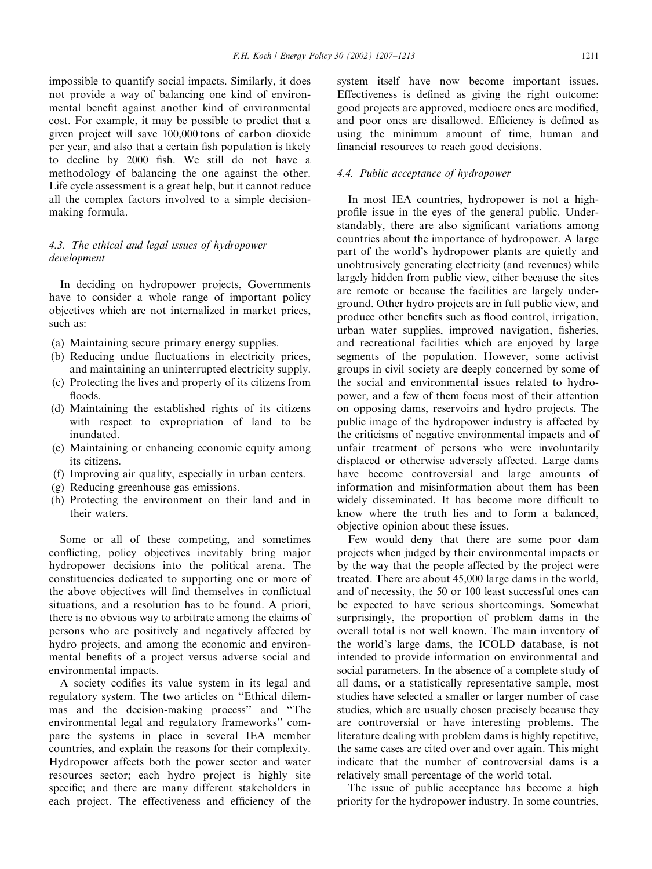impossible to quantify social impacts. Similarly, it does not provide a way of balancing one kind of environmental benefit against another kind of environmental cost. For example, it may be possible to predict that a given project will save 100,000 tons of carbon dioxide per year, and also that a certain fish population is likely to decline by 2000 fish. We still do not have a methodology of balancing the one against the other. Life cycle assessment is a great help, but it cannot reduce all the complex factors involved to a simple decisionmaking formula.

# 4.3. The ethical and legal issues of hydropower development

In deciding on hydropower projects, Governments have to consider a whole range of important policy objectives which are not internalized in market prices, such as:

- (a) Maintaining secure primary energy supplies.
- (b) Reducing undue fluctuations in electricity prices, and maintaining an uninterrupted electricity supply.
- (c) Protecting the lives and property of its citizens from floods.
- (d) Maintaining the established rights of its citizens with respect to expropriation of land to be inundated.
- (e) Maintaining or enhancing economic equity among its citizens.
- (f) Improving air quality, especially in urban centers.
- (g) Reducing greenhouse gas emissions.
- (h) Protecting the environment on their land and in their waters.

Some or all of these competing, and sometimes conflicting, policy objectives inevitably bring major hydropower decisions into the political arena. The constituencies dedicated to supporting one or more of the above objectives will find themselves in conflictual situations, and a resolution has to be found. A priori, there is no obvious way to arbitrate among the claims of persons who are positively and negatively affected by hydro projects, and among the economic and environmental benefits of a project versus adverse social and environmental impacts.

A society codifies its value system in its legal and regulatory system. The two articles on ''Ethical dilemmas and the decision-making process'' and ''The environmental legal and regulatory frameworks'' compare the systems in place in several IEA member countries, and explain the reasons for their complexity. Hydropower affects both the power sector and water resources sector; each hydro project is highly site specific; and there are many different stakeholders in each project. The effectiveness and efficiency of the system itself have now become important issues. Effectiveness is defined as giving the right outcome: good projects are approved, mediocre ones are modified, and poor ones are disallowed. Efficiency is defined as using the minimum amount of time, human and financial resources to reach good decisions.

# 4.4. Public acceptance of hydropower

In most IEA countries, hydropower is not a highprofile issue in the eyes of the general public. Understandably, there are also significant variations among countries about the importance of hydropower. A large part of the world's hydropower plants are quietly and unobtrusively generating electricity (and revenues) while largely hidden from public view, either because the sites are remote or because the facilities are largely underground. Other hydro projects are in full public view, and produce other benefits such as flood control, irrigation, urban water supplies, improved navigation, fisheries, and recreational facilities which are enjoyed by large segments of the population. However, some activist groups in civil society are deeply concerned by some of the social and environmental issues related to hydropower, and a few of them focus most of their attention on opposing dams, reservoirs and hydro projects. The public image of the hydropower industry is affected by the criticisms of negative environmental impacts and of unfair treatment of persons who were involuntarily displaced or otherwise adversely affected. Large dams have become controversial and large amounts of information and misinformation about them has been widely disseminated. It has become more difficult to know where the truth lies and to form a balanced, objective opinion about these issues.

Few would deny that there are some poor dam projects when judged by their environmental impacts or by the way that the people affected by the project were treated. There are about 45,000 large dams in the world, and of necessity, the 50 or 100 least successful ones can be expected to have serious shortcomings. Somewhat surprisingly, the proportion of problem dams in the overall total is not well known. The main inventory of the world's large dams, the ICOLD database, is not intended to provide information on environmental and social parameters. In the absence of a complete study of all dams, or a statistically representative sample, most studies have selected a smaller or larger number of case studies, which are usually chosen precisely because they are controversial or have interesting problems. The literature dealing with problem dams is highly repetitive, the same cases are cited over and over again. This might indicate that the number of controversial dams is a relatively small percentage of the world total.

The issue of public acceptance has become a high priority for the hydropower industry. In some countries,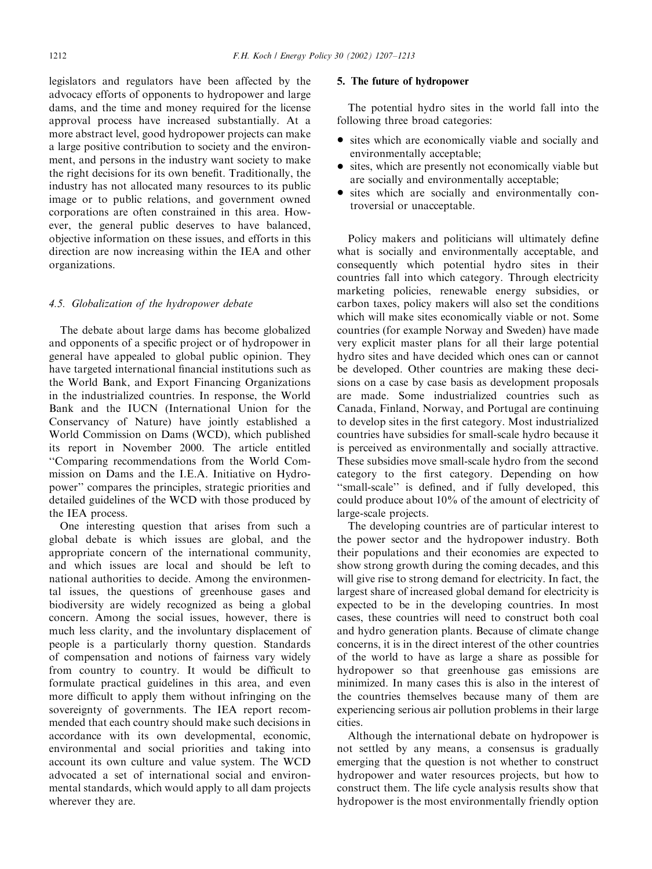legislators and regulators have been affected by the advocacy efforts of opponents to hydropower and large dams, and the time and money required for the license approval process have increased substantially. At a more abstract level, good hydropower projects can make a large positive contribution to society and the environment, and persons in the industry want society to make the right decisions for its own benefit. Traditionally, the industry has not allocated many resources to its public image or to public relations, and government owned corporations are often constrained in this area. However, the general public deserves to have balanced, objective information on these issues, and efforts in this direction are now increasing within the IEA and other organizations.

# 4.5. Globalization of the hydropower debate

The debate about large dams has become globalized and opponents of a specific project or of hydropower in general have appealed to global public opinion. They have targeted international financial institutions such as the World Bank, and Export Financing Organizations in the industrialized countries. In response, the World Bank and the IUCN (International Union for the Conservancy of Nature) have jointly established a World Commission on Dams (WCD), which published its report in November 2000. The article entitled ''Comparing recommendations from the World Commission on Dams and the I.E.A. Initiative on Hydropower'' compares the principles, strategic priorities and detailed guidelines of the WCD with those produced by the IEA process.

One interesting question that arises from such a global debate is which issues are global, and the appropriate concern of the international community, and which issues are local and should be left to national authorities to decide. Among the environmental issues, the questions of greenhouse gases and biodiversity are widely recognized as being a global concern. Among the social issues, however, there is much less clarity, and the involuntary displacement of people is a particularly thorny question. Standards of compensation and notions of fairness vary widely from country to country. It would be difficult to formulate practical guidelines in this area, and even more difficult to apply them without infringing on the sovereignty of governments. The IEA report recommended that each country should make such decisions in accordance with its own developmental, economic, environmental and social priorities and taking into account its own culture and value system. The WCD advocated a set of international social and environmental standards, which would apply to all dam projects wherever they are.

#### 5. The future of hydropower

The potential hydro sites in the world fall into the following three broad categories:

- sites which are economically viable and socially and environmentally acceptable;
- sites, which are presently not economically viable but are socially and environmentally acceptable;
- sites which are socially and environmentally controversial or unacceptable.

Policy makers and politicians will ultimately define what is socially and environmentally acceptable, and consequently which potential hydro sites in their countries fall into which category. Through electricity marketing policies, renewable energy subsidies, or carbon taxes, policy makers will also set the conditions which will make sites economically viable or not. Some countries (for example Norway and Sweden) have made very explicit master plans for all their large potential hydro sites and have decided which ones can or cannot be developed. Other countries are making these decisions on a case by case basis as development proposals are made. Some industrialized countries such as Canada, Finland, Norway, and Portugal are continuing to develop sites in the first category. Most industrialized countries have subsidies for small-scale hydro because it is perceived as environmentally and socially attractive. These subsidies move small-scale hydro from the second category to the first category. Depending on how "small-scale" is defined, and if fully developed, this could produce about 10% of the amount of electricity of large-scale projects.

The developing countries are of particular interest to the power sector and the hydropower industry. Both their populations and their economies are expected to show strong growth during the coming decades, and this will give rise to strong demand for electricity. In fact, the largest share of increased global demand for electricity is expected to be in the developing countries. In most cases, these countries will need to construct both coal and hydro generation plants. Because of climate change concerns, it is in the direct interest of the other countries of the world to have as large a share as possible for hydropower so that greenhouse gas emissions are minimized. In many cases this is also in the interest of the countries themselves because many of them are experiencing serious air pollution problems in their large cities.

Although the international debate on hydropower is not settled by any means, a consensus is gradually emerging that the question is not whether to construct hydropower and water resources projects, but how to construct them. The life cycle analysis results show that hydropower is the most environmentally friendly option